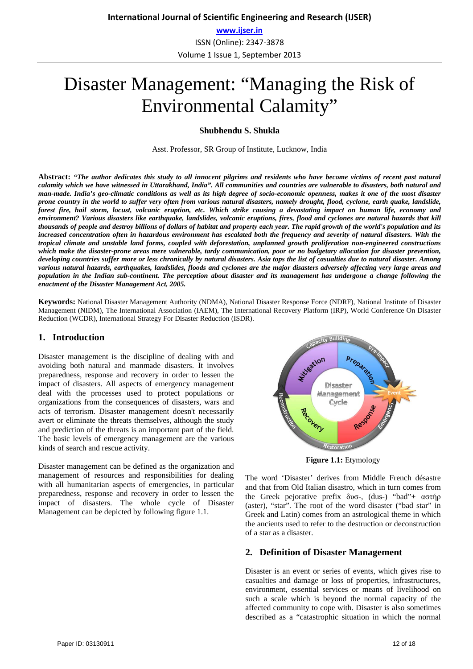ISSN (Online): 2347‐3878 Volume 1 Issue 1, September 2013

# Disaster Management: "Managing the Risk of Environmental Calamity"

## **Shubhendu S. Shukla**

Asst. Professor, SR Group of Institute, Lucknow, India

**Abstract:** *"The author dedicates this study to all innocent pilgrims and residents who have become victims of recent past natural calamity which we have witnessed in Uttarakhand, India". All communities and countries are vulnerable to disasters, both natural and man-made. India's geo-climatic conditions as well as its high degree of socio-economic openness, makes it one of the most disaster prone country in the world to suffer very often from various natural disasters, namely drought, flood, cyclone, earth quake, landslide, forest fire, hail storm, locust, volcanic eruption, etc. Which strike causing a devastating impact on human life, economy and environment? Various disasters like earthquake, landslides, volcanic eruptions, fires, flood and cyclones are natural hazards that kill thousands of people and destroy billions of dollars of habitat and property each year. The rapid growth of the world's population and its increased concentration often in hazardous environment has escalated both the frequency and severity of natural disasters. With the tropical climate and unstable land forms, coupled with deforestation, unplanned growth proliferation non-engineered constructions which make the disaster-prone areas mere vulnerable, tardy communication, poor or no budgetary allocation for disaster prevention, developing countries suffer more or less chronically by natural disasters. Asia tops the list of casualties due to natural disaster. Among various natural hazards, earthquakes, landslides, floods and cyclones are the major disasters adversely affecting very large areas and population in the Indian sub-continent. The perception about disaster and its management has undergone a change following the enactment of the Disaster Management Act, 2005.*

**Keywords:** National Disaster Management Authority (NDMA), National Disaster Response Force (NDRF), National Institute of Disaster Management (NIDM), The International Association (IAEM), The International Recovery Platform (IRP), World Conference On Disaster Reduction (WCDR), International Strategy For Disaster Reduction (ISDR).

## **1. Introduction**

Disaster management is the discipline of dealing with and avoiding both natural and manmade disasters. It involves preparedness, response and recovery in order to lessen the impact of disasters. All aspects of emergency management deal with the processes used to protect populations or organizations from the consequences of disasters, wars and acts of terrorism. Disaster management doesn't necessarily avert or eliminate the threats themselves, although the study and prediction of the threats is an important part of the field. The basic levels of emergency management are the various kinds of search and rescue activity.

Disaster management can be defined as the organization and management of resources and responsibilities for dealing with all humanitarian aspects of emergencies, in particular preparedness, response and recovery in order to lessen the impact of disasters. The whole cycle of Disaster Management can be depicted by following figure 1.1.



**Figure 1.1:** Etymology

The word 'Disaster' derives from Middle French désastre and that from Old Italian disastro, which in turn comes from the Greek pejorative prefix δυσ-, (dus-) "bad"+ αστήρ (aster), "star". The root of the word disaster ("bad star" in Greek and Latin) comes from an astrological theme in which the ancients used to refer to the destruction or deconstruction of a star as a disaster.

## **2. Definition of Disaster Management**

Disaster is an event or series of events, which gives rise to casualties and damage or loss of properties, infrastructures, environment, essential services or means of livelihood on such a scale which is beyond the normal capacity of the affected community to cope with. Disaster is also sometimes described as a "catastrophic situation in which the normal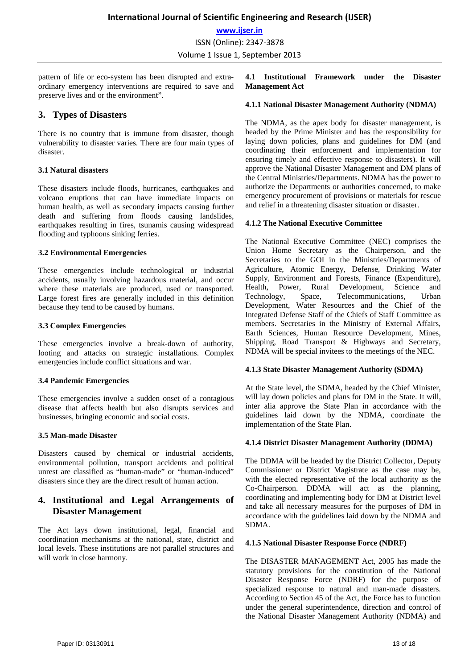**International Journal of Scientific Engineering and Research (IJSER)**

**www.ijser.in**

ISSN (Online): 2347‐3878

Volume 1 Issue 1, September 2013

pattern of life or eco-system has been disrupted and extraordinary emergency interventions are required to save and preserve lives and or the environment".

## **3. Types of Disasters**

There is no country that is immune from disaster, though vulnerability to disaster varies. There are four main types of disaster.

## **3.1 Natural disasters**

These disasters include floods, hurricanes, earthquakes and volcano eruptions that can have immediate impacts on human health, as well as secondary impacts causing further death and suffering from floods causing landslides, earthquakes resulting in fires, tsunamis causing widespread flooding and typhoons sinking ferries.

## **3.2 Environmental Emergencies**

These emergencies include technological or industrial accidents, usually involving hazardous material, and occur where these materials are produced, used or transported. Large forest fires are generally included in this definition because they tend to be caused by humans.

## **3.3 Complex Emergencies**

These emergencies involve a break-down of authority, looting and attacks on strategic installations. Complex emergencies include conflict situations and war.

#### **3.4 Pandemic Emergencies**

These emergencies involve a sudden onset of a contagious disease that affects health but also disrupts services and businesses, bringing economic and social costs.

#### **3.5 Man-made Disaster**

Disasters caused by chemical or industrial accidents, environmental pollution, transport accidents and political unrest are classified as "human-made" or "human-induced" disasters since they are the direct result of human action.

# **4. Institutional and Legal Arrangements of Disaster Management**

The Act lays down institutional, legal, financial and coordination mechanisms at the national, state, district and local levels. These institutions are not parallel structures and will work in close harmony.

## **4.1 Institutional Framework under the Disaster Management Act**

## **4.1.1 National Disaster Management Authority (NDMA)**

The NDMA, as the apex body for disaster management, is headed by the Prime Minister and has the responsibility for laying down policies, plans and guidelines for DM (and coordinating their enforcement and implementation for ensuring timely and effective response to disasters). It will approve the National Disaster Management and DM plans of the Central Ministries/Departments. NDMA has the power to authorize the Departments or authorities concerned, to make emergency procurement of provisions or materials for rescue and relief in a threatening disaster situation or disaster.

#### **4.1.2 The National Executive Committee**

The National Executive Committee (NEC) comprises the Union Home Secretary as the Chairperson, and the Secretaries to the GOI in the Ministries/Departments of Agriculture, Atomic Energy, Defense, Drinking Water Supply, Environment and Forests, Finance (Expenditure), Health, Power, Rural Development, Science and Technology, Space, Telecommunications, Urban Development, Water Resources and the Chief of the Integrated Defense Staff of the Chiefs of Staff Committee as members. Secretaries in the Ministry of External Affairs, Earth Sciences, Human Resource Development, Mines, Shipping, Road Transport & Highways and Secretary, NDMA will be special invitees to the meetings of the NEC.

## **4.1.3 State Disaster Management Authority (SDMA)**

At the State level, the SDMA, headed by the Chief Minister, will lay down policies and plans for DM in the State. It will, inter alia approve the State Plan in accordance with the guidelines laid down by the NDMA, coordinate the implementation of the State Plan.

## **4.1.4 District Disaster Management Authority (DDMA)**

The DDMA will be headed by the District Collector, Deputy Commissioner or District Magistrate as the case may be, with the elected representative of the local authority as the Co-Chairperson. DDMA will act as the planning, coordinating and implementing body for DM at District level and take all necessary measures for the purposes of DM in accordance with the guidelines laid down by the NDMA and SDMA.

#### **4.1.5 National Disaster Response Force (NDRF)**

The DISASTER MANAGEMENT Act, 2005 has made the statutory provisions for the constitution of the National Disaster Response Force (NDRF) for the purpose of specialized response to natural and man-made disasters. According to Section 45 of the Act, the Force has to function under the general superintendence, direction and control of the National Disaster Management Authority (NDMA) and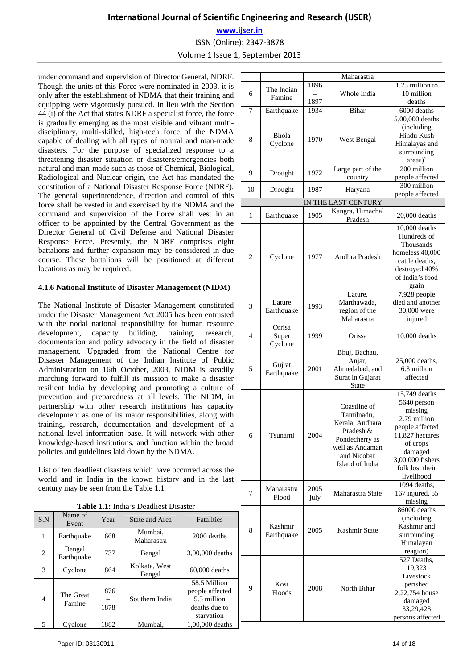# **International Journal of Scientific Engineering and Research (IJSER)**

**www.ijser.in**

ISSN (Online): 2347‐3878

Volume 1 Issue 1, September 2013

under command and supervision of Director General, NDRF. Though the units of this Force were nominated in 2003, it is only after the establishment of NDMA that their training and equipping were vigorously pursued. In lieu with the Section 44 (i) of the Act that states NDRF a specialist force, the force is gradually emerging as the most visible and vibrant multidisciplinary, multi-skilled, high-tech force of the NDMA capable of dealing with all types of natural and man-made disasters. For the purpose of specialized response to a threatening disaster situation or disasters/emergencies both natural and man-made such as those of Chemical, Biological, Radiological and Nuclear origin, the Act has mandated the constitution of a National Disaster Response Force (NDRF). The general superintendence, direction and control of this force shall be vested in and exercised by the NDMA and the command and supervision of the Force shall vest in an officer to be appointed by the Central Government as the Director General of Civil Defense and National Disaster Response Force. Presently, the NDRF comprises eight battalions and further expansion may be considered in due course. These battalions will be positioned at different locations as may be required.

## **4.1.6 National Institute of Disaster Management (NIDM)**

The National Institute of Disaster Management constituted under the Disaster Management Act 2005 has been entrusted with the nodal national responsibility for human resource development, capacity building, training, research, documentation and policy advocacy in the field of disaster management. Upgraded from the National Centre for Disaster Management of the Indian Institute of Public Administration on 16th October, 2003, NIDM is steadily marching forward to fulfill its mission to make a disaster resilient India by developing and promoting a culture of prevention and preparedness at all levels. The NIDM, in partnership with other research institutions has capacity development as one of its major responsibilities, along with training, research, documentation and development of a national level information base. It will network with other knowledge-based institutions, and function within the broad policies and guidelines laid down by the NDMA.

List of ten deadliest disasters which have occurred across the world and in India in the known history and in the last century may be seen from the Table 1.1

|  | <b>Table 1.1:</b> India's Deadliest Disaster |  |
|--|----------------------------------------------|--|
|  |                                              |  |

| $\ldots$ |                      |              |                         |                                                                               |  |
|----------|----------------------|--------------|-------------------------|-------------------------------------------------------------------------------|--|
| S.N      | Name of<br>Event     | Year         | State and Area          | Fatalities                                                                    |  |
| 1        | Earthquake           | 1668         | Mumbai.<br>Maharastra   | 2000 deaths                                                                   |  |
| 2        | Bengal<br>Earthquake | 1737         | Bengal                  | 3,00,000 deaths                                                               |  |
| 3        | Cyclone              | 1864         | Kolkata, West<br>Bengal | $60,000$ deaths                                                               |  |
| 4        | The Great<br>Famine  | 1876<br>1878 | Southern India          | 58.5 Million<br>people affected<br>5.5 million<br>deaths due to<br>starvation |  |
| 5        | Cyclone              | 1882         | Mumbai,                 | 1,00,000 deaths                                                               |  |

|    |                            | Maharastra   |                                                                                                                                   |                                                                                                                                                                           |
|----|----------------------------|--------------|-----------------------------------------------------------------------------------------------------------------------------------|---------------------------------------------------------------------------------------------------------------------------------------------------------------------------|
|    | The Indian                 | 1896         |                                                                                                                                   | 1.25 million to                                                                                                                                                           |
| 6  | Famine                     | 1897         | Whole India                                                                                                                       | 10 million<br>deaths                                                                                                                                                      |
| 7  | Earthquake                 | 1934         | Bihar                                                                                                                             | 6000 deaths                                                                                                                                                               |
|    |                            |              |                                                                                                                                   | 5,00,000 deaths                                                                                                                                                           |
| 8  | Bhola<br>Cyclone           | 1970         | West Bengal                                                                                                                       | (including<br>Hindu Kush<br>Himalayas and<br>surrounding                                                                                                                  |
|    |                            |              |                                                                                                                                   | areas)                                                                                                                                                                    |
| 9  | Drought                    | 1972         | Large part of the<br>country                                                                                                      | $200$ million<br>people affected                                                                                                                                          |
| 10 | Drought                    | 1987         | Haryana                                                                                                                           | 300 million<br>people affected                                                                                                                                            |
|    |                            |              | IN THE LAST CENTURY                                                                                                               |                                                                                                                                                                           |
|    |                            |              | Kangra, Himachal                                                                                                                  |                                                                                                                                                                           |
| 1  | Earthquake                 | 1905         | Pradesh                                                                                                                           | 20,000 deaths                                                                                                                                                             |
| 2  | Cyclone                    | 1977         | Andhra Pradesh                                                                                                                    | 10,000 deaths<br>Hundreds of<br>Thousands<br>homeless 40,000<br>cattle deaths,<br>destroyed 40%<br>of India's food<br>grain                                               |
|    |                            |              | Lature.                                                                                                                           | 7,928 people                                                                                                                                                              |
| 3  | Lature                     | 1993         | Marthawada,                                                                                                                       | died and another                                                                                                                                                          |
|    | Earthquake                 |              | region of the                                                                                                                     | 30,000 were                                                                                                                                                               |
|    |                            |              | Maharastra                                                                                                                        | injured                                                                                                                                                                   |
| 4  | Orrisa<br>Super<br>Cyclone | 1999         | Orissa                                                                                                                            | 10,000 deaths                                                                                                                                                             |
| 5  | Gujrat<br>Earthquake       | 2001         | Bhuj, Bachau,<br>Anjar,<br>Ahmedabad, and<br>Surat in Gujarat<br>State                                                            | 25,000 deaths,<br>6.3 million<br>affected                                                                                                                                 |
| 6  | Tsunami                    | 2004         | Coastline of<br>Tamilnadu,<br>Kerala, Andhara<br>Pradesh &<br>Pondecherry as<br>well as Andaman<br>and Nicobar<br>Island of India | 15,749 deaths<br>5640 person<br>missing<br>2.79 million<br>people affected<br>11,827 hectares<br>of crops<br>damaged<br>3,00,000 fishers<br>folk lost their<br>livelihood |
| 7  | Maharastra<br>Flood        | 2005<br>july | Maharastra State                                                                                                                  | 1094 deaths,<br>167 injured, 55<br>missing                                                                                                                                |
| 8  | Kashmir<br>Earthquake      | 2005         | Kashmir State                                                                                                                     | 86000 deaths<br>(including<br>Kashmir and<br>surrounding<br>Himalayan<br>reagion)                                                                                         |
| 9  | Kosi<br>Floods             | 2008         | North Bihar                                                                                                                       | 527 Deaths,<br>19,323<br>Livestock<br>perished<br>2,22,754 house<br>damaged<br>33,29,423<br>persons affected                                                              |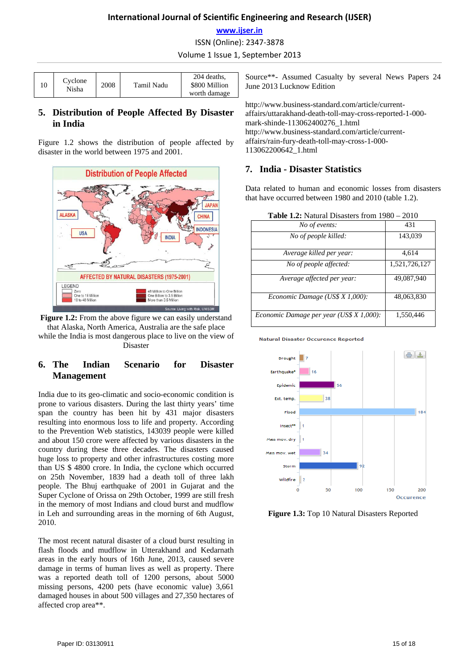# **International Journal of Scientific Engineering and Research (IJSER)**

## **www.ijser.in**

ISSN (Online): 2347‐3878

Volume 1 Issue 1, September 2013

| 10 | Cyclone<br>Nisha | 2008 | Tamil Nadu | 204 deaths.<br>\$800 Million<br>worth damage |
|----|------------------|------|------------|----------------------------------------------|

# **5. Distribution of People Affected By Disaster in India**

Figure 1.2 shows the distribution of people affected by disaster in the world between 1975 and 2001.





# **6. The Indian Scenario for Disaster Management**

India due to its geo-climatic and socio-economic condition is prone to various disasters. During the last thirty years' time span the country has been hit by 431 major disasters resulting into enormous loss to life and property. According to the Prevention Web statistics, 143039 people were killed and about 150 crore were affected by various disasters in the country during these three decades. The disasters caused huge loss to property and other infrastructures costing more than US \$ 4800 crore. In India, the cyclone which occurred on 25th November, 1839 had a death toll of three lakh people. The Bhuj earthquake of 2001 in Gujarat and the Super Cyclone of Orissa on 29th October, 1999 are still fresh in the memory of most Indians and cloud burst and mudflow in Leh and surrounding areas in the morning of 6th August, 2010.

The most recent natural disaster of a cloud burst resulting in flash floods and mudflow in Utterakhand and Kedarnath areas in the early hours of 16th June, 2013, caused severe damage in terms of human lives as well as property. There was a reported death toll of 1200 persons, about 5000 missing persons, 4200 pets (have economic value) 3,661 damaged houses in about 500 villages and 27,350 hectares of affected crop area\*\*.

Source\*\*- Assumed Casualty by several News Papers 24 June 2013 Lucknow Edition

http://www.business-standard.com/article/currentaffairs/uttarakhand-death-toll-may-cross-reported-1-000 mark-shinde-113062400276\_1.html http://www.business-standard.com/article/currentaffairs/rain-fury-death-toll-may-cross-1-000- 113062200642\_1.html

## **7. India - Disaster Statistics**

Data related to human and economic losses from disasters that have occurred between 1980 and 2010 (table 1.2).

| <b>Table 1.2:</b> Natural Disasters from $1980 - 2010$ |                                          |               |  |  |
|--------------------------------------------------------|------------------------------------------|---------------|--|--|
|                                                        | No of events:                            | 431           |  |  |
|                                                        | No of people killed:                     | 143,039       |  |  |
|                                                        | Average killed per year:                 | 4,614         |  |  |
|                                                        | No of people affected:                   | 1,521,726,127 |  |  |
|                                                        | Average affected per year:               | 49,087,940    |  |  |
|                                                        | Economic Damage (US\$ X 1,000):          | 48,063,830    |  |  |
|                                                        | Economic Damage per year (US\$ X 1,000): | 1,550,446     |  |  |

**Table 1.2:** Natural Disasters from 1980 – 2010

**Natural Disaster Occurence Reported** 



**Figure 1.3:** Top 10 Natural Disasters Reported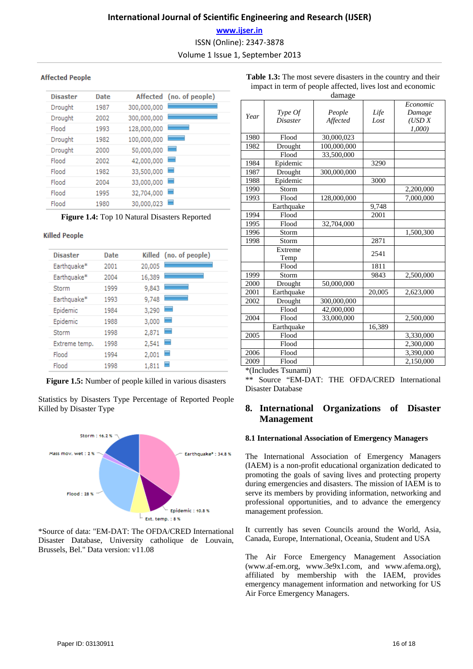## **www.ijser.in**

ISSN (Online): 2347‐3878

Volume 1 Issue 1, September 2013

## **Affected People**

| <b>Disaster</b> | Date |             | Affected (no. of people) |
|-----------------|------|-------------|--------------------------|
| Drought         | 1987 | 300,000,000 |                          |
| Drought         | 2002 | 300,000,000 |                          |
| Flood           | 1993 | 128,000,000 |                          |
| Drought         | 1982 | 100,000,000 |                          |
| Drought         | 2000 | 50,000,000  | -                        |
| Flood           | 2002 | 42,000,000  | -                        |
| Flood           | 1982 | 33,500,000  | -                        |
| Flood           | 2004 | 33,000,000  | -                        |
| Flood           | 1995 | 32,704,000  | -                        |
| Flood           | 1980 | 30,000,023  | -                        |

**Figure 1.4:** Top 10 Natural Disasters Reported

## **Killed People**

| <b>Disaster</b> | <b>Date</b> |        | Killed (no. of people) |
|-----------------|-------------|--------|------------------------|
| Earthquake*     | 2001        | 20,005 |                        |
| Earthquake*     | 2004        | 16,389 |                        |
| Storm           | 1999        | 9,843  |                        |
| Earthquake*     | 1993        | 9,748  |                        |
| Epidemic        | 1984        | 3,290  | ۰                      |
| Epidemic        | 1988        | 3,000  | ۰                      |
| Storm           | 1998        | 2,871  | ۰                      |
| Extreme temp.   | 1998        | 2,541  | ۰                      |
| Flood           | 1994        | 2,001  |                        |
| Flood           | 1998        | 1,811  |                        |
|                 |             |        |                        |

**Figure 1.5:** Number of people killed in various disasters

Statistics by Disasters Type Percentage of Reported People Killed by Disaster Type



\*Source of data: "EM-DAT: The OFDA/CRED International Disaster Database, University catholique de Louvain, Brussels, Bel." Data version: v11.08

|      |                        | uamagu      |        |           |
|------|------------------------|-------------|--------|-----------|
|      |                        |             |        | Economic  |
| Year | Type Of                | People      | Life   | Damage    |
|      | <i><b>Disaster</b></i> | Affected    | Lost   | (USD X)   |
|      |                        |             |        | 1,000     |
| 1980 | Flood                  | 30,000,023  |        |           |
| 1982 | Drought                | 100,000,000 |        |           |
|      | Flood                  | 33,500,000  |        |           |
| 1984 | Epidemic               |             | 3290   |           |
| 1987 | Drought                | 300,000,000 |        |           |
| 1988 | Epidemic               |             | 3000   |           |
| 1990 | Storm                  |             |        | 2,200,000 |
| 1993 | Flood                  | 128,000,000 |        | 7.000.000 |
|      | Earthquake             |             | 9,748  |           |
| 1994 | Flood                  |             | 2001   |           |
| 1995 | Flood                  | 32,704,000  |        |           |
| 1996 | Storm                  |             |        | 1,500,300 |
| 1998 | Storm                  |             | 2871   |           |
|      | Extreme                |             | 2541   |           |
|      | Temp                   |             |        |           |
|      | Flood                  |             | 1811   |           |
| 1999 | Storm                  |             | 9843   | 2,500,000 |
| 2000 | Drought                | 50,000,000  |        |           |
| 2001 | Earthquake             |             | 20,005 | 2,623,000 |
| 2002 | Drought                | 300,000,000 |        |           |
|      | Flood                  | 42,000,000  |        |           |
| 2004 | Flood                  | 33,000,000  |        | 2,500,000 |
|      | Earthquake             |             | 16,389 |           |
| 2005 | Flood                  |             |        | 3,330,000 |
|      | Flood                  |             |        | 2.300,000 |
| 2006 | Flood                  |             |        | 3,390,000 |
| 2009 | Flood                  |             |        | 2,150,000 |

**Table 1.3:** The most severe disasters in the country and their impact in term of people affected, lives lost and economic damage

\*(Includes Tsunami)

\*\* Source "EM-DAT: THE OFDA/CRED International Disaster Database

# **8. International Organizations of Disaster Management**

## **8.1 International Association of Emergency Managers**

The International Association of Emergency Managers (IAEM) is a non-profit educational organization dedicated to promoting the goals of saving lives and protecting property during emergencies and disasters. The mission of IAEM is to serve its members by providing information, networking and professional opportunities, and to advance the emergency management profession.

It currently has seven Councils around the World, Asia, Canada, Europe, International, Oceania, Student and USA

The Air Force Emergency Management Association (www.af-em.org, www.3e9x1.com, and www.afema.org), affiliated by membership with the IAEM, provides emergency management information and networking for US Air Force Emergency Managers.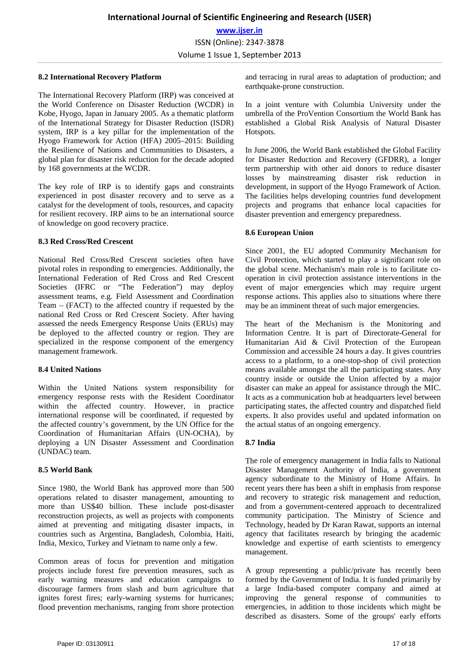#### **8.2 International Recovery Platform**

The International Recovery Platform (IRP) was conceived at the World Conference on Disaster Reduction (WCDR) in Kobe, Hyogo, Japan in January 2005. As a thematic platform of the International Strategy for Disaster Reduction (ISDR) system, IRP is a key pillar for the implementation of the Hyogo Framework for Action (HFA) 2005–2015: Building the Resilience of Nations and Communities to Disasters, a global plan for disaster risk reduction for the decade adopted by 168 governments at the WCDR.

The key role of IRP is to identify gaps and constraints experienced in post disaster recovery and to serve as a catalyst for the development of tools, resources, and capacity for resilient recovery. IRP aims to be an international source of knowledge on good recovery practice.

## **8.3 Red Cross/Red Crescent**

National Red Cross/Red Crescent societies often have pivotal roles in responding to emergencies. Additionally, the International Federation of Red Cross and Red Crescent Societies (IFRC or "The Federation") may deploy assessment teams, e.g. Field Assessment and Coordination Team – (FACT) to the affected country if requested by the national Red Cross or Red Crescent Society. After having assessed the needs Emergency Response Units (ERUs) may be deployed to the affected country or region. They are specialized in the response component of the emergency management framework.

#### **8.4 United Nations**

Within the United Nations system responsibility for emergency response rests with the Resident Coordinator within the affected country. However, in practice international response will be coordinated, if requested by the affected country's government, by the UN Office for the Coordination of Humanitarian Affairs (UN-OCHA), by deploying a UN Disaster Assessment and Coordination (UNDAC) team.

#### **8.5 World Bank**

Since 1980, the World Bank has approved more than 500 operations related to disaster management, amounting to more than US\$40 billion. These include post-disaster reconstruction projects, as well as projects with components aimed at preventing and mitigating disaster impacts, in countries such as Argentina, Bangladesh, Colombia, Haiti, India, Mexico, Turkey and Vietnam to name only a few.

Common areas of focus for prevention and mitigation projects include forest fire prevention measures, such as early warning measures and education campaigns to discourage farmers from slash and burn agriculture that ignites forest fires; early-warning systems for hurricanes; flood prevention mechanisms, ranging from shore protection

and terracing in rural areas to adaptation of production; and earthquake-prone construction.

In a joint venture with Columbia University under the umbrella of the ProVention Consortium the World Bank has established a Global Risk Analysis of Natural Disaster Hotspots.

In June 2006, the World Bank established the Global Facility for Disaster Reduction and Recovery (GFDRR), a longer term partnership with other aid donors to reduce disaster losses by mainstreaming disaster risk reduction in development, in support of the Hyogo Framework of Action. The facilities helps developing countries fund development projects and programs that enhance local capacities for disaster prevention and emergency preparedness.

#### **8.6 European Union**

Since 2001, the EU adopted Community Mechanism for Civil Protection, which started to play a significant role on the global scene. Mechanism's main role is to facilitate cooperation in civil protection assistance interventions in the event of major emergencies which may require urgent response actions. This applies also to situations where there may be an imminent threat of such major emergencies.

The heart of the Mechanism is the Monitoring and Information Centre. It is part of Directorate-General for Humanitarian Aid & Civil Protection of the European Commission and accessible 24 hours a day. It gives countries access to a platform, to a one-stop-shop of civil protection means available amongst the all the participating states. Any country inside or outside the Union affected by a major disaster can make an appeal for assistance through the MIC. It acts as a communication hub at headquarters level between participating states, the affected country and dispatched field experts. It also provides useful and updated information on the actual status of an ongoing emergency.

#### **8.7 India**

The role of emergency management in India falls to National Disaster Management Authority of India, a government agency subordinate to the Ministry of Home Affairs. In recent years there has been a shift in emphasis from response and recovery to strategic risk management and reduction, and from a government-centered approach to decentralized community participation. The Ministry of Science and Technology, headed by Dr Karan Rawat, supports an internal agency that facilitates research by bringing the academic knowledge and expertise of earth scientists to emergency management.

A group representing a public/private has recently been formed by the Government of India. It is funded primarily by a large India-based computer company and aimed at improving the general response of communities to emergencies, in addition to those incidents which might be described as disasters. Some of the groups' early efforts